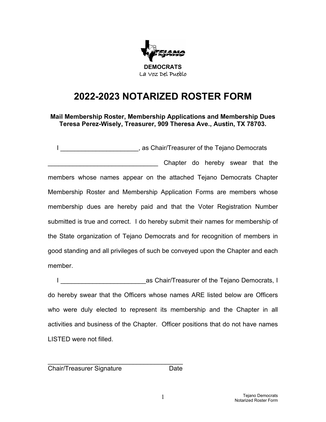

## **2022-2023 NOTARIZED ROSTER FORM**

**Mail Membership Roster, Membership Applications and Membership Dues Teresa Perez-Wisely, Treasurer, 909 Theresa Ave., Austin, TX 78703.**

I Letterman the state of the Tejano Democrats of the Tejano Democrats \_\_\_\_\_\_\_\_\_\_\_\_\_\_\_\_\_\_\_\_\_\_\_\_\_\_\_\_\_\_\_ Chapter do hereby swear that the members whose names appear on the attached Tejano Democrats Chapter Membership Roster and Membership Application Forms are members whose membership dues are hereby paid and that the Voter Registration Number submitted is true and correct. I do hereby submit their names for membership of the State organization of Tejano Democrats and for recognition of members in good standing and all privileges of such be conveyed upon the Chapter and each member.

I Letter Loop and Loop and Loop and Loop and Loop and Loop and Loop and Loop and Loop and Loop and Loop and Lo do hereby swear that the Officers whose names ARE listed below are Officers who were duly elected to represent its membership and the Chapter in all activities and business of the Chapter. Officer positions that do not have names LISTED were not filled.

Chair/Treasurer Signature **Date** 

\_\_\_\_\_\_\_\_\_\_\_\_\_\_\_\_\_\_\_\_\_\_\_\_\_\_\_\_\_\_\_\_\_\_\_\_\_\_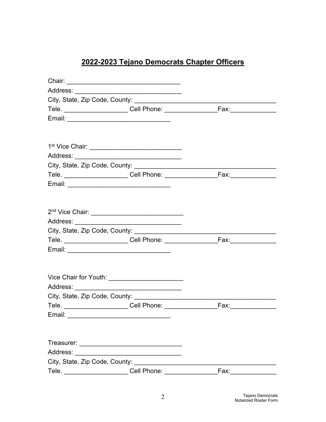## 2022-2023 Tejano Democrats Chapter Officers

|                                | Vice Chair for Youth: __________________________ |      |  |
|--------------------------------|--------------------------------------------------|------|--|
|                                |                                                  |      |  |
|                                |                                                  |      |  |
|                                |                                                  |      |  |
| Email:                         |                                                  |      |  |
|                                |                                                  |      |  |
|                                |                                                  |      |  |
| Address:                       |                                                  |      |  |
| City, State, Zip Code, County: |                                                  |      |  |
| Tele.                          | Cell Phone:                                      | Fax: |  |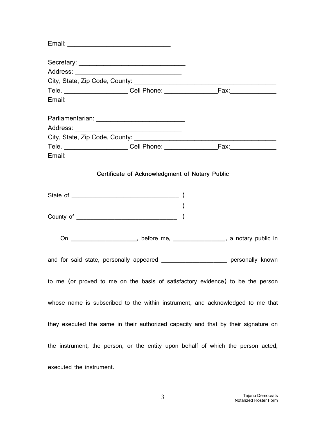| Certificate of Acknowledgment of Notary Public                                     |  |  |  |
|------------------------------------------------------------------------------------|--|--|--|
|                                                                                    |  |  |  |
|                                                                                    |  |  |  |
|                                                                                    |  |  |  |
|                                                                                    |  |  |  |
|                                                                                    |  |  |  |
| On ________________________, before me, __________________, a notary public in     |  |  |  |
|                                                                                    |  |  |  |
| and for said state, personally appeared _____________________ personally known     |  |  |  |
|                                                                                    |  |  |  |
| to me (or proved to me on the basis of satisfactory evidence) to be the person     |  |  |  |
|                                                                                    |  |  |  |
| whose name is subscribed to the within instrument, and acknowledged to me that     |  |  |  |
|                                                                                    |  |  |  |
| they executed the same in their authorized capacity and that by their signature on |  |  |  |
| the instrument, the person, or the entity upon behalf of which the person acted,   |  |  |  |
|                                                                                    |  |  |  |
| executed the instrument.                                                           |  |  |  |